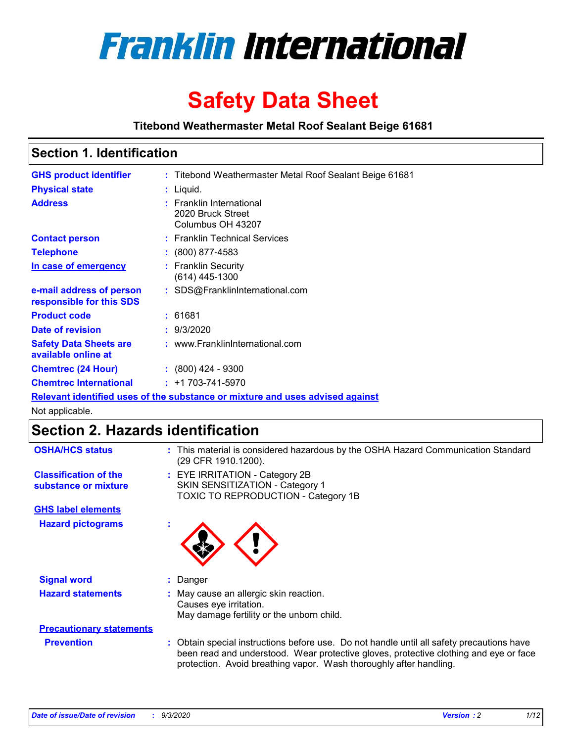

# **Safety Data Sheet**

**Titebond Weathermaster Metal Roof Sealant Beige 61681**

### **Section 1. Identification**

| <b>GHS product identifier</b>                                                        |  | : Titebond Weathermaster Metal Roof Sealant Beige 61681            |  |  |
|--------------------------------------------------------------------------------------|--|--------------------------------------------------------------------|--|--|
| <b>Physical state</b>                                                                |  | : Liquid.                                                          |  |  |
| <b>Address</b>                                                                       |  | : Franklin International<br>2020 Bruck Street<br>Columbus OH 43207 |  |  |
| <b>Contact person</b>                                                                |  | : Franklin Technical Services                                      |  |  |
| <b>Telephone</b>                                                                     |  | $\colon$ (800) 877-4583                                            |  |  |
| In case of emergency                                                                 |  | : Franklin Security<br>(614) 445-1300                              |  |  |
| e-mail address of person<br>responsible for this SDS                                 |  | : SDS@FranklinInternational.com                                    |  |  |
| <b>Product code</b>                                                                  |  | : 61681                                                            |  |  |
| Date of revision                                                                     |  | : 9/3/2020                                                         |  |  |
| <b>Safety Data Sheets are</b><br>available online at                                 |  | : www.FranklinInternational.com                                    |  |  |
| <b>Chemtrec (24 Hour)</b>                                                            |  | $: (800)$ 424 - 9300                                               |  |  |
| <b>Chemtrec International</b>                                                        |  | $: +1703 - 741 - 5970$                                             |  |  |
| <u>Relevant identified uses of the substance or mixture and uses advised against</u> |  |                                                                    |  |  |

Not applicable.

# **Section 2. Hazards identification**

| <b>OSHA/HCS status</b>                               |    | : This material is considered hazardous by the OSHA Hazard Communication Standard<br>(29 CFR 1910.1200).                                                                                                                                                 |
|------------------------------------------------------|----|----------------------------------------------------------------------------------------------------------------------------------------------------------------------------------------------------------------------------------------------------------|
| <b>Classification of the</b><br>substance or mixture |    | : EYE IRRITATION - Category 2B<br>SKIN SENSITIZATION - Category 1<br>TOXIC TO REPRODUCTION - Category 1B                                                                                                                                                 |
| <b>GHS label elements</b>                            |    |                                                                                                                                                                                                                                                          |
| <b>Hazard pictograms</b>                             | ×. |                                                                                                                                                                                                                                                          |
| <b>Signal word</b>                                   | ÷. | Danger                                                                                                                                                                                                                                                   |
| <b>Hazard statements</b>                             |    | May cause an allergic skin reaction.<br>Causes eye irritation.<br>May damage fertility or the unborn child.                                                                                                                                              |
| <b>Precautionary statements</b>                      |    |                                                                                                                                                                                                                                                          |
| <b>Prevention</b>                                    |    | : Obtain special instructions before use. Do not handle until all safety precautions have<br>been read and understood. Wear protective gloves, protective clothing and eye or face<br>protection. Avoid breathing vapor. Wash thoroughly after handling. |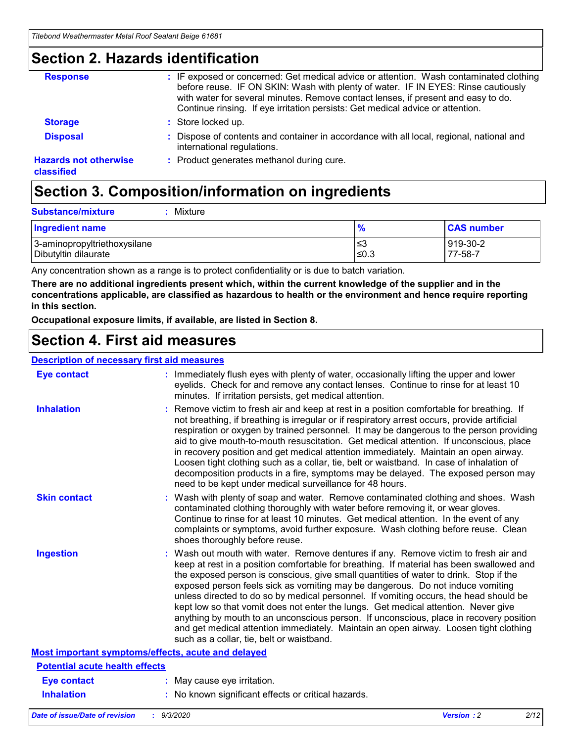### **Section 2. Hazards identification**

| <b>Response</b>                            | : IF exposed or concerned: Get medical advice or attention. Wash contaminated clothing<br>before reuse. IF ON SKIN: Wash with plenty of water. IF IN EYES: Rinse cautiously<br>with water for several minutes. Remove contact lenses, if present and easy to do.<br>Continue rinsing. If eye irritation persists: Get medical advice or attention. |
|--------------------------------------------|----------------------------------------------------------------------------------------------------------------------------------------------------------------------------------------------------------------------------------------------------------------------------------------------------------------------------------------------------|
| <b>Storage</b>                             | : Store locked up.                                                                                                                                                                                                                                                                                                                                 |
| <b>Disposal</b>                            | : Dispose of contents and container in accordance with all local, regional, national and<br>international regulations.                                                                                                                                                                                                                             |
| <b>Hazards not otherwise</b><br>classified | : Product generates methanol during cure.                                                                                                                                                                                                                                                                                                          |

# **Section 3. Composition/information on ingredients**

| <b>Substance/mixture</b> | Mixture |
|--------------------------|---------|
|                          |         |

| <b>Ingredient name</b>       | $\frac{9}{6}$ | <b>CAS number</b> |
|------------------------------|---------------|-------------------|
| 3-aminopropyltriethoxysilane | ≤3            | 919-30-2          |
| Dibutyltin dilaurate         | ∣≤0.3         | 77-58-7           |

Any concentration shown as a range is to protect confidentiality or is due to batch variation.

**There are no additional ingredients present which, within the current knowledge of the supplier and in the concentrations applicable, are classified as hazardous to health or the environment and hence require reporting in this section.**

**Occupational exposure limits, if available, are listed in Section 8.**

### **Section 4. First aid measures**

| <b>Description of necessary first aid measures</b> |                                                                                                                                                                                                                                                                                                                                                                                                                                                                                                                                                                                                                                                                                                                                                                           |
|----------------------------------------------------|---------------------------------------------------------------------------------------------------------------------------------------------------------------------------------------------------------------------------------------------------------------------------------------------------------------------------------------------------------------------------------------------------------------------------------------------------------------------------------------------------------------------------------------------------------------------------------------------------------------------------------------------------------------------------------------------------------------------------------------------------------------------------|
| <b>Eye contact</b>                                 | : Immediately flush eyes with plenty of water, occasionally lifting the upper and lower<br>eyelids. Check for and remove any contact lenses. Continue to rinse for at least 10<br>minutes. If irritation persists, get medical attention.                                                                                                                                                                                                                                                                                                                                                                                                                                                                                                                                 |
| <b>Inhalation</b>                                  | : Remove victim to fresh air and keep at rest in a position comfortable for breathing. If<br>not breathing, if breathing is irregular or if respiratory arrest occurs, provide artificial<br>respiration or oxygen by trained personnel. It may be dangerous to the person providing<br>aid to give mouth-to-mouth resuscitation. Get medical attention. If unconscious, place<br>in recovery position and get medical attention immediately. Maintain an open airway.<br>Loosen tight clothing such as a collar, tie, belt or waistband. In case of inhalation of<br>decomposition products in a fire, symptoms may be delayed. The exposed person may<br>need to be kept under medical surveillance for 48 hours.                                                       |
| <b>Skin contact</b>                                | : Wash with plenty of soap and water. Remove contaminated clothing and shoes. Wash<br>contaminated clothing thoroughly with water before removing it, or wear gloves.<br>Continue to rinse for at least 10 minutes. Get medical attention. In the event of any<br>complaints or symptoms, avoid further exposure. Wash clothing before reuse. Clean<br>shoes thoroughly before reuse.                                                                                                                                                                                                                                                                                                                                                                                     |
| <b>Ingestion</b>                                   | : Wash out mouth with water. Remove dentures if any. Remove victim to fresh air and<br>keep at rest in a position comfortable for breathing. If material has been swallowed and<br>the exposed person is conscious, give small quantities of water to drink. Stop if the<br>exposed person feels sick as vomiting may be dangerous. Do not induce vomiting<br>unless directed to do so by medical personnel. If vomiting occurs, the head should be<br>kept low so that vomit does not enter the lungs. Get medical attention. Never give<br>anything by mouth to an unconscious person. If unconscious, place in recovery position<br>and get medical attention immediately. Maintain an open airway. Loosen tight clothing<br>such as a collar, tie, belt or waistband. |
| Most important symptoms/effects, acute and delayed |                                                                                                                                                                                                                                                                                                                                                                                                                                                                                                                                                                                                                                                                                                                                                                           |
| <b>Potential acute health effects</b>              |                                                                                                                                                                                                                                                                                                                                                                                                                                                                                                                                                                                                                                                                                                                                                                           |
| Eye contact                                        | : May cause eye irritation.                                                                                                                                                                                                                                                                                                                                                                                                                                                                                                                                                                                                                                                                                                                                               |
| <b>Inhalation</b>                                  | : No known significant effects or critical hazards.                                                                                                                                                                                                                                                                                                                                                                                                                                                                                                                                                                                                                                                                                                                       |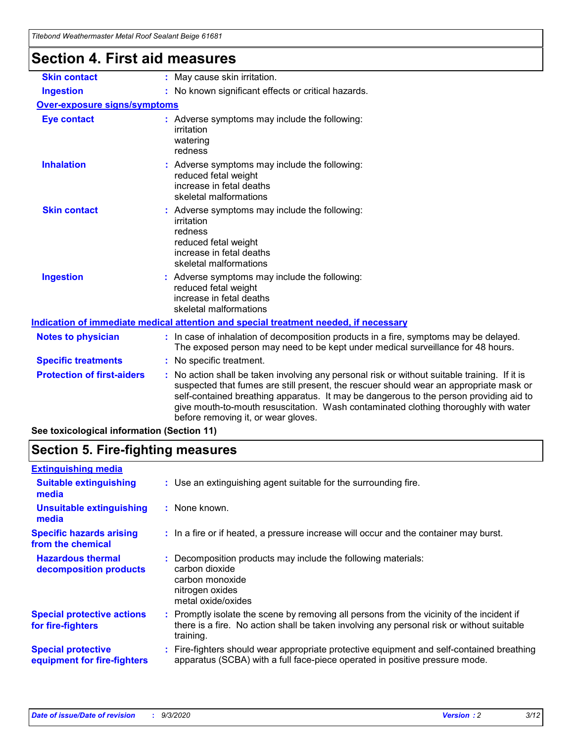| <u>Hiebona Wealhenhasier MelarNoor Sealahl Belge 01001</u> |                                                                                                                                                                                                                                                                                                                                                                                                                 |
|------------------------------------------------------------|-----------------------------------------------------------------------------------------------------------------------------------------------------------------------------------------------------------------------------------------------------------------------------------------------------------------------------------------------------------------------------------------------------------------|
| Section 4. First aid measures                              |                                                                                                                                                                                                                                                                                                                                                                                                                 |
| <b>Skin contact</b>                                        | : May cause skin irritation.                                                                                                                                                                                                                                                                                                                                                                                    |
| <b>Ingestion</b>                                           | : No known significant effects or critical hazards.                                                                                                                                                                                                                                                                                                                                                             |
| <b>Over-exposure signs/symptoms</b>                        |                                                                                                                                                                                                                                                                                                                                                                                                                 |
| <b>Eye contact</b>                                         | : Adverse symptoms may include the following:<br>irritation<br>watering<br>redness                                                                                                                                                                                                                                                                                                                              |
| <b>Inhalation</b>                                          | : Adverse symptoms may include the following:<br>reduced fetal weight<br>increase in fetal deaths<br>skeletal malformations                                                                                                                                                                                                                                                                                     |
| <b>Skin contact</b>                                        | : Adverse symptoms may include the following:<br>irritation<br>redness<br>reduced fetal weight<br>increase in fetal deaths<br>skeletal malformations                                                                                                                                                                                                                                                            |
| <b>Ingestion</b>                                           | : Adverse symptoms may include the following:<br>reduced fetal weight<br>increase in fetal deaths<br>skeletal malformations                                                                                                                                                                                                                                                                                     |
|                                                            | Indication of immediate medical attention and special treatment needed, if necessary                                                                                                                                                                                                                                                                                                                            |
| <b>Notes to physician</b>                                  | : In case of inhalation of decomposition products in a fire, symptoms may be delayed.<br>The exposed person may need to be kept under medical surveillance for 48 hours.                                                                                                                                                                                                                                        |
| <b>Specific treatments</b>                                 | : No specific treatment.                                                                                                                                                                                                                                                                                                                                                                                        |
| <b>Protection of first-aiders</b>                          | : No action shall be taken involving any personal risk or without suitable training. If it is<br>suspected that fumes are still present, the rescuer should wear an appropriate mask or<br>self-contained breathing apparatus. It may be dangerous to the person providing aid to<br>give mouth-to-mouth resuscitation. Wash contaminated clothing thoroughly with water<br>before removing it, or wear gloves. |

**See toxicological information (Section 11)**

# **Section 5. Fire-fighting measures**

| <b>Extinguishing media</b>                               |                                                                                                                                                                                                     |
|----------------------------------------------------------|-----------------------------------------------------------------------------------------------------------------------------------------------------------------------------------------------------|
| <b>Suitable extinguishing</b><br>media                   | : Use an extinguishing agent suitable for the surrounding fire.                                                                                                                                     |
| <b>Unsuitable extinguishing</b><br>media                 | : None known.                                                                                                                                                                                       |
| <b>Specific hazards arising</b><br>from the chemical     | : In a fire or if heated, a pressure increase will occur and the container may burst.                                                                                                               |
| <b>Hazardous thermal</b><br>decomposition products       | : Decomposition products may include the following materials:<br>carbon dioxide<br>carbon monoxide<br>nitrogen oxides<br>metal oxide/oxides                                                         |
| <b>Special protective actions</b><br>for fire-fighters   | : Promptly isolate the scene by removing all persons from the vicinity of the incident if<br>there is a fire. No action shall be taken involving any personal risk or without suitable<br>training. |
| <b>Special protective</b><br>equipment for fire-fighters | Fire-fighters should wear appropriate protective equipment and self-contained breathing<br>apparatus (SCBA) with a full face-piece operated in positive pressure mode.                              |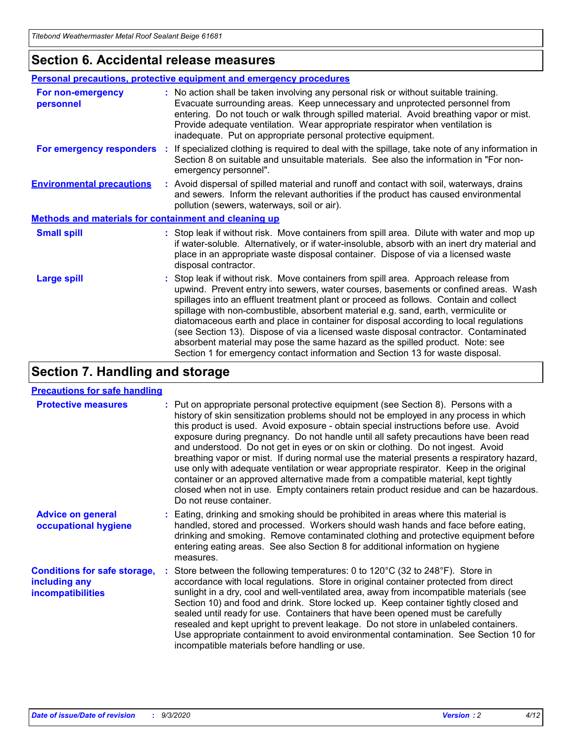### **Section 6. Accidental release measures**

|                                                       | <b>Personal precautions, protective equipment and emergency procedures</b>                                                                                                                                                                                                                                                                                                                                                                                                                                                                                                                                                                                                                                   |  |  |  |
|-------------------------------------------------------|--------------------------------------------------------------------------------------------------------------------------------------------------------------------------------------------------------------------------------------------------------------------------------------------------------------------------------------------------------------------------------------------------------------------------------------------------------------------------------------------------------------------------------------------------------------------------------------------------------------------------------------------------------------------------------------------------------------|--|--|--|
| For non-emergency<br>personnel                        | : No action shall be taken involving any personal risk or without suitable training.<br>Evacuate surrounding areas. Keep unnecessary and unprotected personnel from<br>entering. Do not touch or walk through spilled material. Avoid breathing vapor or mist.<br>Provide adequate ventilation. Wear appropriate respirator when ventilation is<br>inadequate. Put on appropriate personal protective equipment.                                                                                                                                                                                                                                                                                             |  |  |  |
| For emergency responders                              | : If specialized clothing is required to deal with the spillage, take note of any information in<br>Section 8 on suitable and unsuitable materials. See also the information in "For non-<br>emergency personnel".                                                                                                                                                                                                                                                                                                                                                                                                                                                                                           |  |  |  |
| <b>Environmental precautions</b>                      | : Avoid dispersal of spilled material and runoff and contact with soil, waterways, drains<br>and sewers. Inform the relevant authorities if the product has caused environmental<br>pollution (sewers, waterways, soil or air).                                                                                                                                                                                                                                                                                                                                                                                                                                                                              |  |  |  |
| Methods and materials for containment and cleaning up |                                                                                                                                                                                                                                                                                                                                                                                                                                                                                                                                                                                                                                                                                                              |  |  |  |
| <b>Small spill</b>                                    | : Stop leak if without risk. Move containers from spill area. Dilute with water and mop up<br>if water-soluble. Alternatively, or if water-insoluble, absorb with an inert dry material and<br>place in an appropriate waste disposal container. Dispose of via a licensed waste<br>disposal contractor.                                                                                                                                                                                                                                                                                                                                                                                                     |  |  |  |
| <b>Large spill</b>                                    | : Stop leak if without risk. Move containers from spill area. Approach release from<br>upwind. Prevent entry into sewers, water courses, basements or confined areas. Wash<br>spillages into an effluent treatment plant or proceed as follows. Contain and collect<br>spillage with non-combustible, absorbent material e.g. sand, earth, vermiculite or<br>diatomaceous earth and place in container for disposal according to local regulations<br>(see Section 13). Dispose of via a licensed waste disposal contractor. Contaminated<br>absorbent material may pose the same hazard as the spilled product. Note: see<br>Section 1 for emergency contact information and Section 13 for waste disposal. |  |  |  |

# **Section 7. Handling and storage**

#### **Precautions for safe handling**

| <b>Protective measures</b>                                                       | : Put on appropriate personal protective equipment (see Section 8). Persons with a<br>history of skin sensitization problems should not be employed in any process in which<br>this product is used. Avoid exposure - obtain special instructions before use. Avoid<br>exposure during pregnancy. Do not handle until all safety precautions have been read<br>and understood. Do not get in eyes or on skin or clothing. Do not ingest. Avoid<br>breathing vapor or mist. If during normal use the material presents a respiratory hazard,<br>use only with adequate ventilation or wear appropriate respirator. Keep in the original<br>container or an approved alternative made from a compatible material, kept tightly<br>closed when not in use. Empty containers retain product residue and can be hazardous.<br>Do not reuse container. |
|----------------------------------------------------------------------------------|--------------------------------------------------------------------------------------------------------------------------------------------------------------------------------------------------------------------------------------------------------------------------------------------------------------------------------------------------------------------------------------------------------------------------------------------------------------------------------------------------------------------------------------------------------------------------------------------------------------------------------------------------------------------------------------------------------------------------------------------------------------------------------------------------------------------------------------------------|
| <b>Advice on general</b><br>occupational hygiene                                 | : Eating, drinking and smoking should be prohibited in areas where this material is<br>handled, stored and processed. Workers should wash hands and face before eating,<br>drinking and smoking. Remove contaminated clothing and protective equipment before<br>entering eating areas. See also Section 8 for additional information on hygiene<br>measures.                                                                                                                                                                                                                                                                                                                                                                                                                                                                                    |
| <b>Conditions for safe storage,</b><br>including any<br><i>incompatibilities</i> | : Store between the following temperatures: 0 to $120^{\circ}$ C (32 to $248^{\circ}$ F). Store in<br>accordance with local regulations. Store in original container protected from direct<br>sunlight in a dry, cool and well-ventilated area, away from incompatible materials (see<br>Section 10) and food and drink. Store locked up. Keep container tightly closed and<br>sealed until ready for use. Containers that have been opened must be carefully<br>resealed and kept upright to prevent leakage. Do not store in unlabeled containers.<br>Use appropriate containment to avoid environmental contamination. See Section 10 for<br>incompatible materials before handling or use.                                                                                                                                                   |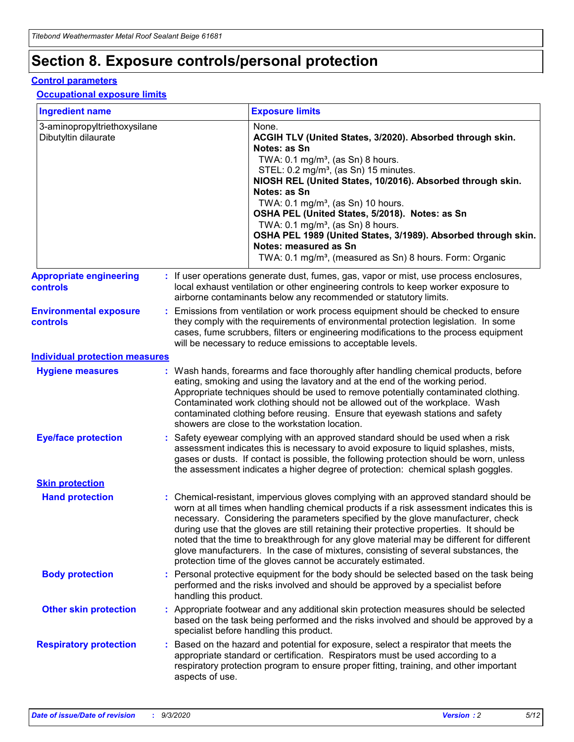# **Section 8. Exposure controls/personal protection**

#### **Control parameters**

#### **Occupational exposure limits**

| <b>Ingredient name</b>                               |    |                        | <b>Exposure limits</b>                                                                                                                                                                                                                                                                                                                                                                                                                                                                                                                                                                                                 |
|------------------------------------------------------|----|------------------------|------------------------------------------------------------------------------------------------------------------------------------------------------------------------------------------------------------------------------------------------------------------------------------------------------------------------------------------------------------------------------------------------------------------------------------------------------------------------------------------------------------------------------------------------------------------------------------------------------------------------|
| 3-aminopropyltriethoxysilane<br>Dibutyltin dilaurate |    |                        | None.<br>ACGIH TLV (United States, 3/2020). Absorbed through skin.<br>Notes: as Sn<br>TWA: $0.1 \text{ mg/m}^3$ , (as Sn) 8 hours.<br>STEL: 0.2 mg/m <sup>3</sup> , (as Sn) 15 minutes.<br>NIOSH REL (United States, 10/2016). Absorbed through skin.<br>Notes: as Sn<br>TWA: 0.1 mg/m <sup>3</sup> , (as Sn) 10 hours.<br>OSHA PEL (United States, 5/2018). Notes: as Sn<br>TWA: $0.1 \text{ mg/m}^3$ , (as Sn) 8 hours.<br>OSHA PEL 1989 (United States, 3/1989). Absorbed through skin.<br>Notes: measured as Sn<br>TWA: 0.1 mg/m <sup>3</sup> , (measured as Sn) 8 hours. Form: Organic                            |
| <b>Appropriate engineering</b><br>controls           |    |                        | : If user operations generate dust, fumes, gas, vapor or mist, use process enclosures,<br>local exhaust ventilation or other engineering controls to keep worker exposure to<br>airborne contaminants below any recommended or statutory limits.                                                                                                                                                                                                                                                                                                                                                                       |
| <b>Environmental exposure</b><br>controls            |    |                        | Emissions from ventilation or work process equipment should be checked to ensure<br>they comply with the requirements of environmental protection legislation. In some<br>cases, fume scrubbers, filters or engineering modifications to the process equipment<br>will be necessary to reduce emissions to acceptable levels.                                                                                                                                                                                                                                                                                          |
| <b>Individual protection measures</b>                |    |                        |                                                                                                                                                                                                                                                                                                                                                                                                                                                                                                                                                                                                                        |
| <b>Hygiene measures</b>                              |    |                        | : Wash hands, forearms and face thoroughly after handling chemical products, before<br>eating, smoking and using the lavatory and at the end of the working period.<br>Appropriate techniques should be used to remove potentially contaminated clothing.<br>Contaminated work clothing should not be allowed out of the workplace. Wash<br>contaminated clothing before reusing. Ensure that eyewash stations and safety<br>showers are close to the workstation location.                                                                                                                                            |
| <b>Eye/face protection</b>                           |    |                        | : Safety eyewear complying with an approved standard should be used when a risk<br>assessment indicates this is necessary to avoid exposure to liquid splashes, mists,<br>gases or dusts. If contact is possible, the following protection should be worn, unless<br>the assessment indicates a higher degree of protection: chemical splash goggles.                                                                                                                                                                                                                                                                  |
| <b>Skin protection</b>                               |    |                        |                                                                                                                                                                                                                                                                                                                                                                                                                                                                                                                                                                                                                        |
| <b>Hand protection</b>                               |    |                        | : Chemical-resistant, impervious gloves complying with an approved standard should be<br>worn at all times when handling chemical products if a risk assessment indicates this is<br>necessary. Considering the parameters specified by the glove manufacturer, check<br>during use that the gloves are still retaining their protective properties. It should be<br>noted that the time to breakthrough for any glove material may be different for different<br>glove manufacturers. In the case of mixtures, consisting of several substances, the<br>protection time of the gloves cannot be accurately estimated. |
| <b>Body protection</b>                               |    | handling this product. | Personal protective equipment for the body should be selected based on the task being<br>performed and the risks involved and should be approved by a specialist before                                                                                                                                                                                                                                                                                                                                                                                                                                                |
| <b>Other skin protection</b>                         |    |                        | : Appropriate footwear and any additional skin protection measures should be selected<br>based on the task being performed and the risks involved and should be approved by a<br>specialist before handling this product.                                                                                                                                                                                                                                                                                                                                                                                              |
| <b>Respiratory protection</b>                        | ÷. | aspects of use.        | Based on the hazard and potential for exposure, select a respirator that meets the<br>appropriate standard or certification. Respirators must be used according to a<br>respiratory protection program to ensure proper fitting, training, and other important                                                                                                                                                                                                                                                                                                                                                         |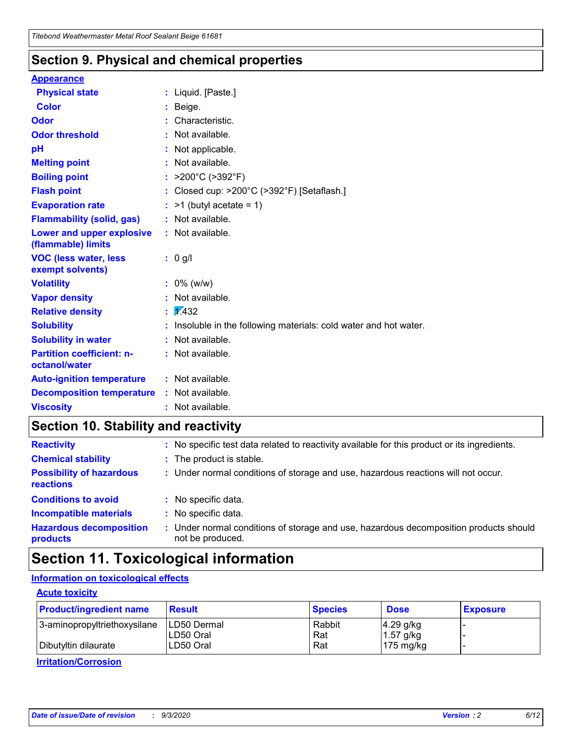### **Section 9. Physical and chemical properties**

#### **Appearance**

| <b>Physical state</b>                             | : Liquid. [Paste.]                                              |
|---------------------------------------------------|-----------------------------------------------------------------|
| <b>Color</b>                                      | Beige.                                                          |
| Odor                                              | Characteristic.                                                 |
| <b>Odor threshold</b>                             | Not available.                                                  |
| рH                                                | Not applicable.                                                 |
| <b>Melting point</b>                              | : Not available.                                                |
| <b>Boiling point</b>                              | >200°C (>392°F)                                                 |
| <b>Flash point</b>                                | Closed cup: >200°C (>392°F) [Setaflash.]                        |
| <b>Evaporation rate</b>                           | $:$ >1 (butyl acetate = 1)                                      |
| <b>Flammability (solid, gas)</b>                  | : Not available.                                                |
| Lower and upper explosive<br>(flammable) limits   | : Not available.                                                |
| <b>VOC (less water, less)</b><br>exempt solvents) | : 0 g/l                                                         |
| <b>Volatility</b>                                 | $: 0\%$ (w/w)                                                   |
| <b>Vapor density</b>                              | Not available.                                                  |
| <b>Relative density</b>                           | $\mathbf{1}$ $\mathbf{\sqrt{432}}$                              |
| <b>Solubility</b>                                 | Insoluble in the following materials: cold water and hot water. |
| <b>Solubility in water</b>                        | Not available.                                                  |
| <b>Partition coefficient: n-</b><br>octanol/water | $:$ Not available.                                              |
| <b>Auto-ignition temperature</b>                  | : Not available.                                                |
| <b>Decomposition temperature</b>                  | : Not available.                                                |
| <b>Viscosity</b>                                  | $:$ Not available.                                              |

### **Section 10. Stability and reactivity**

| <b>Reactivity</b>                            |    | : No specific test data related to reactivity available for this product or its ingredients.            |
|----------------------------------------------|----|---------------------------------------------------------------------------------------------------------|
| <b>Chemical stability</b>                    |    | : The product is stable.                                                                                |
| <b>Possibility of hazardous</b><br>reactions |    | : Under normal conditions of storage and use, hazardous reactions will not occur.                       |
| <b>Conditions to avoid</b>                   |    | : No specific data.                                                                                     |
| <b>Incompatible materials</b>                | ٠. | No specific data.                                                                                       |
| <b>Hazardous decomposition</b><br>products   | ÷. | Under normal conditions of storage and use, hazardous decomposition products should<br>not be produced. |

# **Section 11. Toxicological information**

#### **Information on toxicological effects**

#### **Acute toxicity**

| <b>Product/ingredient name</b> | <b>Result</b>           | <b>Species</b> | <b>Dose</b>                | <b>Exposure</b> |
|--------------------------------|-------------------------|----------------|----------------------------|-----------------|
| 3-aminopropyltriethoxysilane   | <b>ILD50 Dermal</b>     | Rabbit         | 4.29 g/kg                  |                 |
| Dibutyltin dilaurate           | ILD50 Oral<br>LD50 Oral | Rat<br>Rat     | $1.57$ g/kg<br>175 $mg/kg$ |                 |
|                                |                         |                |                            |                 |

**Irritation/Corrosion**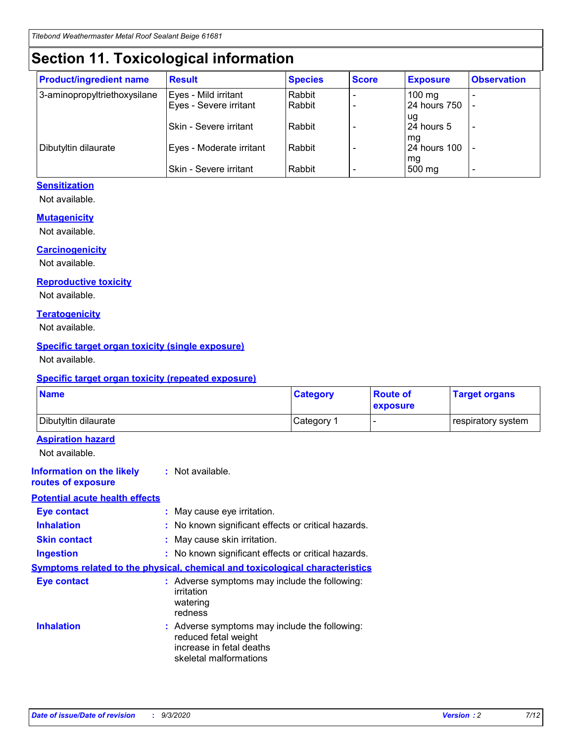# **Section 11. Toxicological information**

| <b>Product/ingredient name</b> | <b>Result</b>                 | <b>Species</b> | <b>Score</b> | <b>Exposure</b>    | <b>Observation</b> |
|--------------------------------|-------------------------------|----------------|--------------|--------------------|--------------------|
| 3-aminopropyltriethoxysilane   | Eyes - Mild irritant          | Rabbit         |              | $100$ mg           |                    |
|                                | Eyes - Severe irritant        | Rabbit         |              | 24 hours 750       |                    |
|                                |                               |                |              | ug                 |                    |
|                                | <b>Skin - Severe irritant</b> | Rabbit         |              | 24 hours 5         | ٠                  |
| Dibutyltin dilaurate           | Eyes - Moderate irritant      | Rabbit         |              | mq<br>24 hours 100 |                    |
|                                |                               |                |              | mg                 |                    |
|                                | Skin - Severe irritant        | Rabbit         |              | 500 mg             |                    |

#### **Sensitization**

Not available.

#### **Mutagenicity**

Not available.

#### **Carcinogenicity**

Not available.

#### **Reproductive toxicity**

Not available.

#### **Teratogenicity**

Not available.

#### **Specific target organ toxicity (single exposure)**

Not available.

#### **Specific target organ toxicity (repeated exposure)**

| <b>Name</b>                                                                         |                                                                            | <b>Category</b>                                     | <b>Route of</b><br>exposure | <b>Target organs</b> |  |  |
|-------------------------------------------------------------------------------------|----------------------------------------------------------------------------|-----------------------------------------------------|-----------------------------|----------------------|--|--|
| Dibutyltin dilaurate                                                                |                                                                            | Category 1                                          | -                           | respiratory system   |  |  |
| <b>Aspiration hazard</b><br>Not available.                                          |                                                                            |                                                     |                             |                      |  |  |
| <b>Information on the likely</b><br>routes of exposure                              | : Not available.                                                           |                                                     |                             |                      |  |  |
| <b>Potential acute health effects</b>                                               |                                                                            |                                                     |                             |                      |  |  |
| <b>Eye contact</b>                                                                  | : May cause eye irritation.                                                |                                                     |                             |                      |  |  |
| <b>Inhalation</b>                                                                   |                                                                            | : No known significant effects or critical hazards. |                             |                      |  |  |
| <b>Skin contact</b>                                                                 |                                                                            | : May cause skin irritation.                        |                             |                      |  |  |
| <b>Ingestion</b>                                                                    |                                                                            | : No known significant effects or critical hazards. |                             |                      |  |  |
| <b>Symptoms related to the physical, chemical and toxicological characteristics</b> |                                                                            |                                                     |                             |                      |  |  |
| <b>Eye contact</b>                                                                  | irritation<br>watering<br>redness                                          | : Adverse symptoms may include the following:       |                             |                      |  |  |
| <b>Inhalation</b>                                                                   | reduced fetal weight<br>increase in fetal deaths<br>skeletal malformations | : Adverse symptoms may include the following:       |                             |                      |  |  |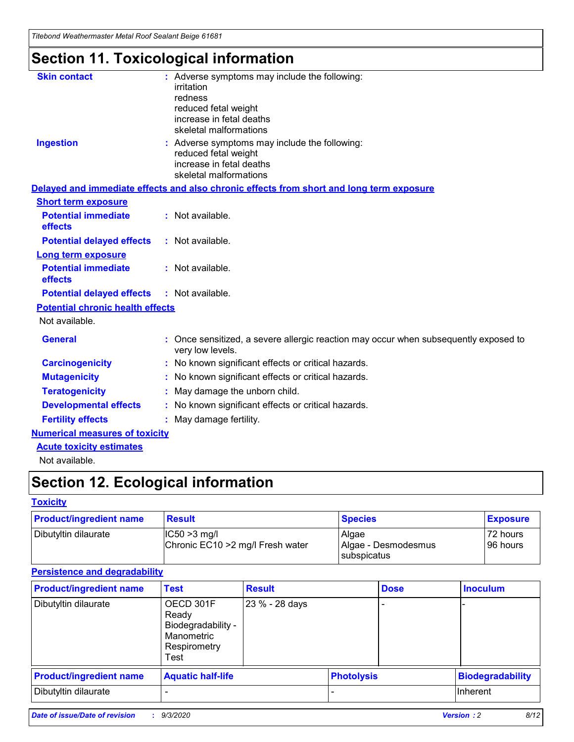*Titebond Weathermaster Metal Roof Sealant Beige 61681*

# **Section 11. Toxicological information**

| <b>Skin contact</b>                     | irritation<br>redness<br>reduced fetal weight<br>increase in fetal deaths<br>skeletal malformations | : Adverse symptoms may include the following:                                            |
|-----------------------------------------|-----------------------------------------------------------------------------------------------------|------------------------------------------------------------------------------------------|
| <b>Ingestion</b>                        | reduced fetal weight<br>increase in fetal deaths<br>skeletal malformations                          | : Adverse symptoms may include the following:                                            |
|                                         |                                                                                                     | Delayed and immediate effects and also chronic effects from short and long term exposure |
| <b>Short term exposure</b>              |                                                                                                     |                                                                                          |
| <b>Potential immediate</b><br>effects   | : Not available.                                                                                    |                                                                                          |
| <b>Potential delayed effects</b>        | : Not available.                                                                                    |                                                                                          |
| <b>Long term exposure</b>               |                                                                                                     |                                                                                          |
| <b>Potential immediate</b><br>effects   | : Not available.                                                                                    |                                                                                          |
| <b>Potential delayed effects</b>        | : Not available.                                                                                    |                                                                                          |
| <b>Potential chronic health effects</b> |                                                                                                     |                                                                                          |
| Not available.                          |                                                                                                     |                                                                                          |
| <b>General</b>                          | very low levels.                                                                                    | : Once sensitized, a severe allergic reaction may occur when subsequently exposed to     |
| <b>Carcinogenicity</b>                  |                                                                                                     | : No known significant effects or critical hazards.                                      |
| <b>Mutagenicity</b>                     |                                                                                                     | No known significant effects or critical hazards.                                        |
| <b>Teratogenicity</b>                   |                                                                                                     | May damage the unborn child.                                                             |
| <b>Developmental effects</b>            |                                                                                                     | : No known significant effects or critical hazards.                                      |
| <b>Fertility effects</b>                | May damage fertility.                                                                               |                                                                                          |
| <b>Numerical measures of toxicity</b>   |                                                                                                     |                                                                                          |
| <b>Acute toxicity estimates</b>         |                                                                                                     |                                                                                          |
| Not available.                          |                                                                                                     |                                                                                          |

# **Section 12. Ecological information**

#### **Toxicity**

| <b>Product/ingredient name</b> | <b>Result</b>                                       | <b>Species</b>               | <b>Exposure</b>       |
|--------------------------------|-----------------------------------------------------|------------------------------|-----------------------|
| Dibutyltin dilaurate           | $ IC50>3$ mg/l<br>Chronic EC10 > 2 mg/l Fresh water | Algae<br>Algae - Desmodesmus | 72 hours<br>196 hours |
|                                |                                                     | <b>I</b> subspicatus         |                       |

#### **Persistence and degradability**

| <b>Product/ingredient name</b> | <b>Test</b>                                                                    | <b>Result</b>  |                   | <b>Dose</b> | <b>Inoculum</b>         |
|--------------------------------|--------------------------------------------------------------------------------|----------------|-------------------|-------------|-------------------------|
| Dibutyltin dilaurate           | OECD 301F<br>Ready<br>Biodegradability -<br>Manometric<br>Respirometry<br>Test | 23 % - 28 days |                   |             |                         |
| <b>Product/ingredient name</b> | <b>Aquatic half-life</b>                                                       |                | <b>Photolysis</b> |             | <b>Biodegradability</b> |
| Dibutyltin dilaurate           |                                                                                |                |                   |             | <b>Inherent</b>         |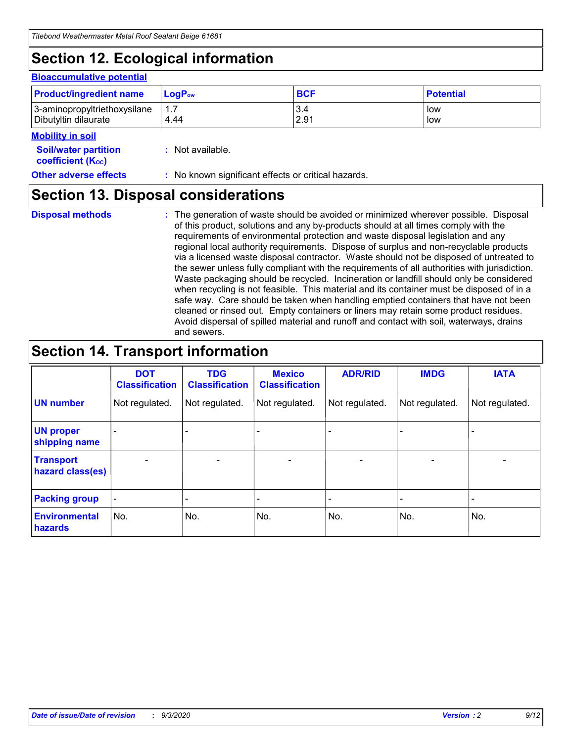# **Section 12. Ecological information**

#### **Bioaccumulative potential**

| <b>Product/ingredient name</b> | $\mathsf{LogP}_\mathsf{ow}$ | <b>BCF</b> | <b>Potential</b> |
|--------------------------------|-----------------------------|------------|------------------|
| 3-aminopropyltriethoxysilane   | 1.7                         | 3.4        | low              |
| Dibutyltin dilaurate           | 4.44                        | 2.91       | low              |

#### **Mobility in soil**

| IVIUWIIILY III JUII                                     |                                                     |
|---------------------------------------------------------|-----------------------------------------------------|
| <b>Soil/water partition</b><br><b>coefficient (Koc)</b> | : Not available.                                    |
| <b>Other adverse effects</b>                            | : No known significant effects or critical hazards. |

### **Section 13. Disposal considerations**

**Disposal methods :**

The generation of waste should be avoided or minimized wherever possible. Disposal of this product, solutions and any by-products should at all times comply with the requirements of environmental protection and waste disposal legislation and any regional local authority requirements. Dispose of surplus and non-recyclable products via a licensed waste disposal contractor. Waste should not be disposed of untreated to the sewer unless fully compliant with the requirements of all authorities with jurisdiction. Waste packaging should be recycled. Incineration or landfill should only be considered when recycling is not feasible. This material and its container must be disposed of in a safe way. Care should be taken when handling emptied containers that have not been cleaned or rinsed out. Empty containers or liners may retain some product residues. Avoid dispersal of spilled material and runoff and contact with soil, waterways, drains and sewers.

# **Section 14. Transport information**

|                                      | <b>DOT</b><br><b>Classification</b> | <b>TDG</b><br><b>Classification</b> | <b>Mexico</b><br><b>Classification</b> | <b>ADR/RID</b>           | <b>IMDG</b>              | <b>IATA</b>    |
|--------------------------------------|-------------------------------------|-------------------------------------|----------------------------------------|--------------------------|--------------------------|----------------|
| <b>UN number</b>                     | Not regulated.                      | Not regulated.                      | Not regulated.                         | Not regulated.           | Not regulated.           | Not regulated. |
| <b>UN proper</b><br>shipping name    |                                     |                                     |                                        |                          |                          |                |
| <b>Transport</b><br>hazard class(es) | $\blacksquare$                      | $\overline{\phantom{0}}$            | $\overline{\phantom{a}}$               | $\overline{\phantom{0}}$ | $\overline{\phantom{a}}$ | $\blacksquare$ |
| <b>Packing group</b>                 |                                     |                                     |                                        |                          |                          | -              |
| <b>Environmental</b><br>hazards      | No.                                 | No.                                 | No.                                    | No.                      | No.                      | No.            |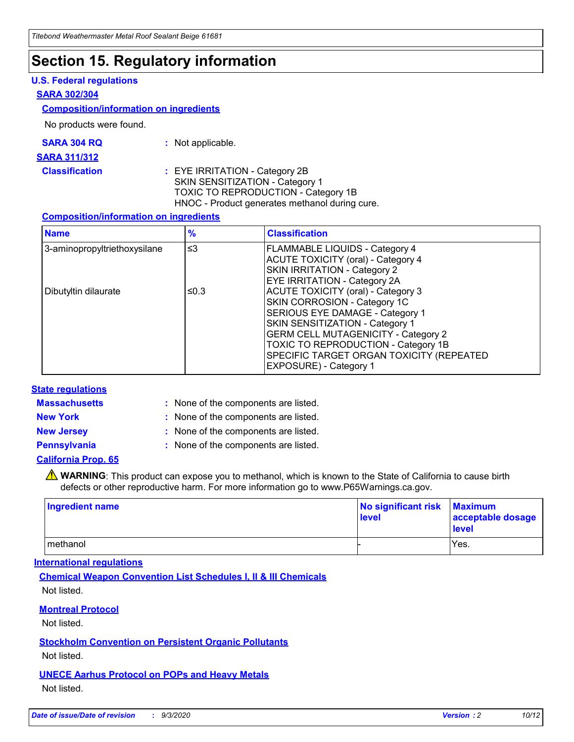# **Section 15. Regulatory information**

#### **U.S. Federal regulations**

#### **SARA 302/304**

#### **Composition/information on ingredients**

No products were found.

| SARA 304 RQ | Not applicable. |
|-------------|-----------------|
|-------------|-----------------|

#### **SARA 311/312**

#### **Classification :** EYE IRRITATION - Category 2B SKIN SENSITIZATION - Category 1 TOXIC TO REPRODUCTION - Category 1B HNOC - Product generates methanol during cure.

#### **Composition/information on ingredients**

| <b>Name</b>                  | $\frac{9}{6}$ | <b>Classification</b>                                                                                                                                                                                                                                                                                      |
|------------------------------|---------------|------------------------------------------------------------------------------------------------------------------------------------------------------------------------------------------------------------------------------------------------------------------------------------------------------------|
| 3-aminopropyltriethoxysilane | $\leq$ 3      | <b>FLAMMABLE LIQUIDS - Category 4</b><br><b>ACUTE TOXICITY (oral) - Category 4</b><br><b>SKIN IRRITATION - Category 2</b><br>EYE IRRITATION - Category 2A                                                                                                                                                  |
| Dibutyltin dilaurate         | ≤0.3          | <b>ACUTE TOXICITY (oral) - Category 3</b><br>SKIN CORROSION - Category 1C<br>SERIOUS EYE DAMAGE - Category 1<br>SKIN SENSITIZATION - Category 1<br><b>GERM CELL MUTAGENICITY - Category 2</b><br>TOXIC TO REPRODUCTION - Category 1B<br>SPECIFIC TARGET ORGAN TOXICITY (REPEATED<br>EXPOSURE) - Category 1 |

#### **State regulations**

**Massachusetts :**

: None of the components are listed.

**New York :** None of the components are listed.

**New Jersey :** None of the components are listed.

**Pennsylvania :** None of the components are listed.

#### **California Prop. 65**

WARNING: This product can expose you to methanol, which is known to the State of California to cause birth defects or other reproductive harm. For more information go to www.P65Warnings.ca.gov.

| Ingredient name | No significant risk Maximum<br>level | acceptable dosage<br><b>level</b> |
|-----------------|--------------------------------------|-----------------------------------|
| I methanol      |                                      | Yes.                              |

#### **International regulations**

**Chemical Weapon Convention List Schedules I, II & III Chemicals** Not listed.

#### **Montreal Protocol**

Not listed.

**Stockholm Convention on Persistent Organic Pollutants**

Not listed.

#### **UNECE Aarhus Protocol on POPs and Heavy Metals** Not listed.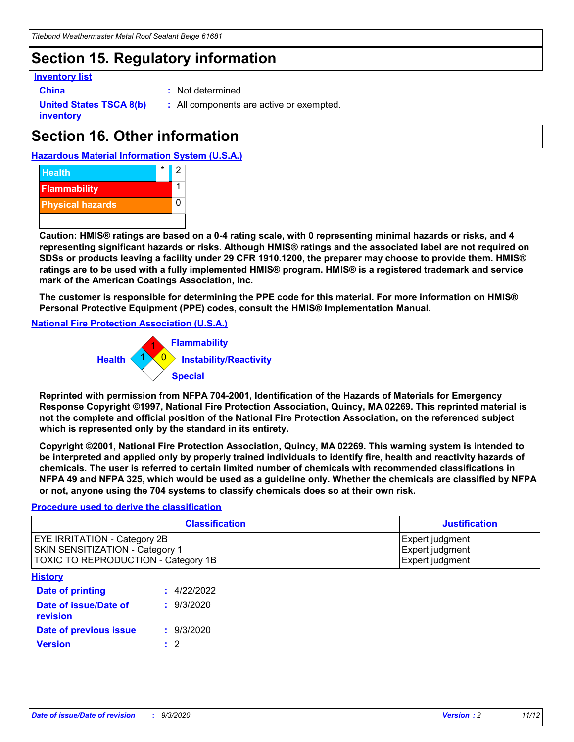# **Section 15. Regulatory information**

#### **Inventory list**

- 
- **China :** Not determined.

**United States TSCA 8(b) inventory**

**:** All components are active or exempted.

# **Section 16. Other information**





**Caution: HMIS® ratings are based on a 0-4 rating scale, with 0 representing minimal hazards or risks, and 4 representing significant hazards or risks. Although HMIS® ratings and the associated label are not required on SDSs or products leaving a facility under 29 CFR 1910.1200, the preparer may choose to provide them. HMIS® ratings are to be used with a fully implemented HMIS® program. HMIS® is a registered trademark and service mark of the American Coatings Association, Inc.**

**The customer is responsible for determining the PPE code for this material. For more information on HMIS® Personal Protective Equipment (PPE) codes, consult the HMIS® Implementation Manual.**

**National Fire Protection Association (U.S.A.)**



**Reprinted with permission from NFPA 704-2001, Identification of the Hazards of Materials for Emergency Response Copyright ©1997, National Fire Protection Association, Quincy, MA 02269. This reprinted material is not the complete and official position of the National Fire Protection Association, on the referenced subject which is represented only by the standard in its entirety.**

**Copyright ©2001, National Fire Protection Association, Quincy, MA 02269. This warning system is intended to be interpreted and applied only by properly trained individuals to identify fire, health and reactivity hazards of chemicals. The user is referred to certain limited number of chemicals with recommended classifications in NFPA 49 and NFPA 325, which would be used as a guideline only. Whether the chemicals are classified by NFPA or not, anyone using the 704 systems to classify chemicals does so at their own risk.**

#### **Procedure used to derive the classification**

| <b>Classification</b>                                                                                         | <b>Justification</b>                                  |
|---------------------------------------------------------------------------------------------------------------|-------------------------------------------------------|
| <b>EYE IRRITATION - Category 2B</b><br>SKIN SENSITIZATION - Category 1<br>TOXIC TO REPRODUCTION - Category 1B | Expert judgment<br>Expert judgment<br>Expert judgment |
| <b>History</b>                                                                                                |                                                       |

| <b>Date of printing</b>                  | : 4/22/2022 |
|------------------------------------------|-------------|
| Date of issue/Date of<br><b>revision</b> | : 9/3/2020  |
| Date of previous issue                   | : 9/3/2020  |
| <b>Version</b>                           | $\cdot$ 2   |